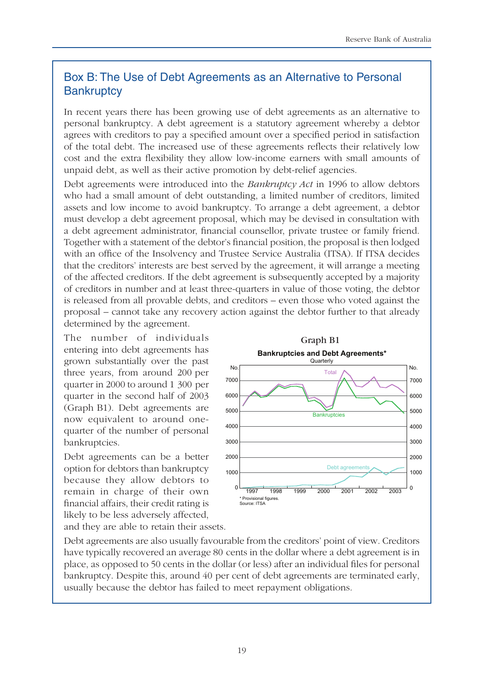## Box B: The Use of Debt Agreements as an Alternative to Personal **Bankruptcy**

In recent years there has been growing use of debt agreements as an alternative to personal bankruptcy. A debt agreement is a statutory agreement whereby a debtor agrees with creditors to pay a specified amount over a specified period in satisfaction of the total debt. The increased use of these agreements reflects their relatively low cost and the extra flexibility they allow low-income earners with small amounts of unpaid debt, as well as their active promotion by debt-relief agencies.

Debt agreements were introduced into the *Bankruptcy Act* in 1996 to allow debtors who had a small amount of debt outstanding, a limited number of creditors, limited assets and low income to avoid bankruptcy. To arrange a debt agreement, a debtor must develop a debt agreement proposal, which may be devised in consultation with a debt agreement administrator, financial counsellor, private trustee or family friend. Together with a statement of the debtor's financial position, the proposal is then lodged with an office of the Insolvency and Trustee Service Australia (ITSA). If ITSA decides that the creditors' interests are best served by the agreement, it will arrange a meeting of the affected creditors. If the debt agreement is subsequently accepted by a majority of creditors in number and at least three-quarters in value of those voting, the debtor is released from all provable debts, and creditors – even those who voted against the proposal – cannot take any recovery action against the debtor further to that already determined by the agreement.

The number of individuals entering into debt agreements has grown substantially over the past three years, from around 200 per quarter in 2000 to around 1 300 per quarter in the second half of 2003 (Graph B1). Debt agreements are now equivalent to around onequarter of the number of personal bankruptcies.

Debt agreements can be a better option for debtors than bankruptcy because they allow debtors to remain in charge of their own financial affairs, their credit rating is likely to be less adversely affected,



and they are able to retain their assets.

Debt agreements are also usually favourable from the creditors' point of view. Creditors have typically recovered an average 80 cents in the dollar where a debt agreement is in place, as opposed to 50 cents in the dollar (or less) after an individual files for personal bankruptcy. Despite this, around 40 per cent of debt agreements are terminated early, usually because the debtor has failed to meet repayment obligations.